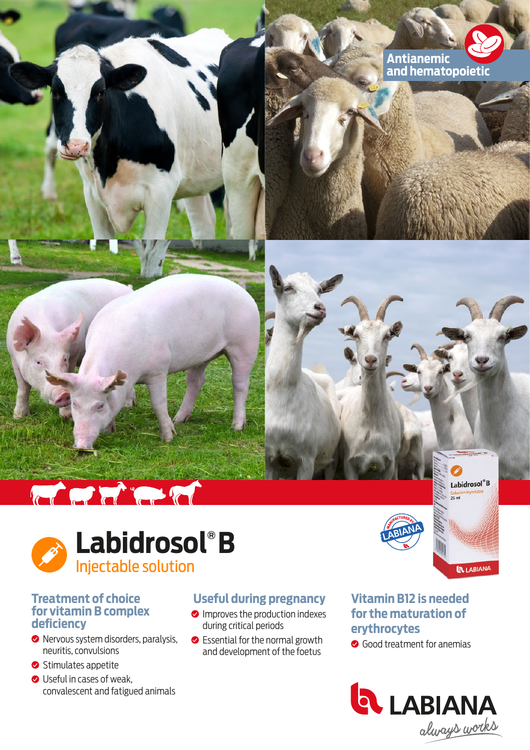





### **Treatment of choice for vitamin B complex deficiency**

- Nervous system disorders, paralysis, neuritis, convulsions
- Stimulates appetite
- Useful in cases of weak. convalescent and fatigued animals

# **Useful during pregnancy**

- **O** Improves the production indexes during critical periods
- **◆** Essential for the normal growth and development of the foetus

## **Vitamin B12 is needed for the maturation of erythrocytes**

Good treatment for anemias





Labidrosol<sup>®</sup>B Soluci